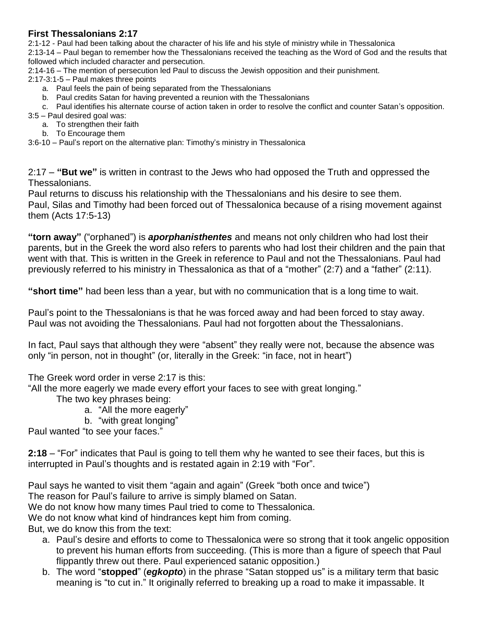### **First Thessalonians 2:17**

2:1-12 - Paul had been talking about the character of his life and his style of ministry while in Thessalonica 2:13-14 – Paul began to remember how the Thessalonians received the teaching as the Word of God and the results that followed which included character and persecution.

2:14-16 – The mention of persecution led Paul to discuss the Jewish opposition and their punishment.

2:17-3:1-5 – Paul makes three points

- a. Paul feels the pain of being separated from the Thessalonians
- b. Paul credits Satan for having prevented a reunion with the Thessalonians

c. Paul identifies his alternate course of action taken in order to resolve the conflict and counter Satan's opposition.

- 3:5 Paul desired goal was:
	- a. To strengthen their faith
	- b. To Encourage them

3:6-10 – Paul's report on the alternative plan: Timothy's ministry in Thessalonica

2:17 – **"But we"** is written in contrast to the Jews who had opposed the Truth and oppressed the Thessalonians.

Paul returns to discuss his relationship with the Thessalonians and his desire to see them. Paul, Silas and Timothy had been forced out of Thessalonica because of a rising movement against them (Acts 17:5-13)

**"torn away"** ("orphaned") is *aporphanisthentes* and means not only children who had lost their parents, but in the Greek the word also refers to parents who had lost their children and the pain that went with that. This is written in the Greek in reference to Paul and not the Thessalonians. Paul had previously referred to his ministry in Thessalonica as that of a "mother" (2:7) and a "father" (2:11).

**"short time"** had been less than a year, but with no communication that is a long time to wait.

Paul's point to the Thessalonians is that he was forced away and had been forced to stay away. Paul was not avoiding the Thessalonians. Paul had not forgotten about the Thessalonians.

In fact, Paul says that although they were "absent" they really were not, because the absence was only "in person, not in thought" (or, literally in the Greek: "in face, not in heart")

The Greek word order in verse 2:17 is this:

"All the more eagerly we made every effort your faces to see with great longing."

The two key phrases being:

- a. "All the more eagerly"
- b. "with great longing"

Paul wanted "to see your faces."

**2:18** – "For" indicates that Paul is going to tell them why he wanted to see their faces, but this is interrupted in Paul's thoughts and is restated again in 2:19 with "For".

Paul says he wanted to visit them "again and again" (Greek "both once and twice")

The reason for Paul's failure to arrive is simply blamed on Satan.

We do not know how many times Paul tried to come to Thessalonica.

We do not know what kind of hindrances kept him from coming.

But, we do know this from the text:

- a. Paul's desire and efforts to come to Thessalonica were so strong that it took angelic opposition to prevent his human efforts from succeeding. (This is more than a figure of speech that Paul flippantly threw out there. Paul experienced satanic opposition.)
- b. The word "**stopped**" (*egkopto*) in the phrase "Satan stopped us" is a military term that basic meaning is "to cut in." It originally referred to breaking up a road to make it impassable. It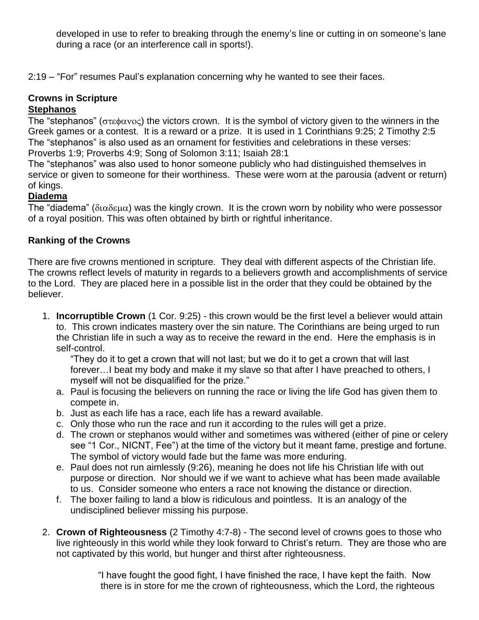developed in use to refer to breaking through the enemy's line or cutting in on someone's lane during a race (or an interference call in sports!).

2:19 – "For" resumes Paul's explanation concerning why he wanted to see their faces.

# **Crowns in Scripture**

## **Stephanos**

The "stephanos" ( $\sigma \tau \epsilon \phi \alpha \nu o \epsilon$ ) the victors crown. It is the symbol of victory given to the winners in the Greek games or a contest. It is a reward or a prize. It is used in 1 Corinthians 9:25; 2 Timothy 2:5 The "stephanos" is also used as an ornament for festivities and celebrations in these verses: Proverbs 1:9; Proverbs 4:9; Song of Solomon 3:11; Isaiah 28:1

The "stephanos" was also used to honor someone publicly who had distinguished themselves in service or given to someone for their worthiness. These were worn at the parousia (advent or return) of kings.

#### **Diadema**

The "diadema" ( $\delta$ ιαδεμα) was the kingly crown. It is the crown worn by nobility who were possessor of a royal position. This was often obtained by birth or rightful inheritance.

#### **Ranking of the Crowns**

There are five crowns mentioned in scripture. They deal with different aspects of the Christian life. The crowns reflect levels of maturity in regards to a believers growth and accomplishments of service to the Lord. They are placed here in a possible list in the order that they could be obtained by the believer.

1. **Incorruptible Crown** (1 Cor. 9:25) - this crown would be the first level a believer would attain to. This crown indicates mastery over the sin nature. The Corinthians are being urged to run the Christian life in such a way as to receive the reward in the end. Here the emphasis is in self-control.

"They do it to get a crown that will not last; but we do it to get a crown that will last forever…I beat my body and make it my slave so that after I have preached to others, I myself will not be disqualified for the prize."

- a. Paul is focusing the believers on running the race or living the life God has given them to compete in.
- b. Just as each life has a race, each life has a reward available.
- c. Only those who run the race and run it according to the rules will get a prize.
- d. The crown or stephanos would wither and sometimes was withered (either of pine or celery see "1 Cor., NICNT, Fee") at the time of the victory but it meant fame, prestige and fortune. The symbol of victory would fade but the fame was more enduring.
- e. Paul does not run aimlessly (9:26), meaning he does not life his Christian life with out purpose or direction. Nor should we if we want to achieve what has been made available to us. Consider someone who enters a race not knowing the distance or direction.
- f. The boxer failing to land a blow is ridiculous and pointless. It is an analogy of the undisciplined believer missing his purpose.
- 2. **Crown of Righteousness** (2 Timothy 4:7-8) The second level of crowns goes to those who live righteously in this world while they look forward to Christ's return. They are those who are not captivated by this world, but hunger and thirst after righteousness.

 "I have fought the good fight, I have finished the race, I have kept the faith. Now there is in store for me the crown of righteousness, which the Lord, the righteous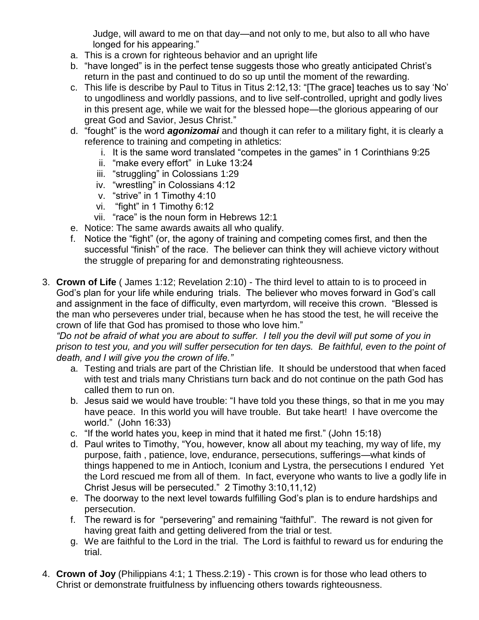Judge, will award to me on that day—and not only to me, but also to all who have longed for his appearing."

- a. This is a crown for righteous behavior and an upright life
- b. "have longed" is in the perfect tense suggests those who greatly anticipated Christ's return in the past and continued to do so up until the moment of the rewarding.
- c. This life is describe by Paul to Titus in Titus 2:12,13: "[The grace] teaches us to say 'No' to ungodliness and worldly passions, and to live self-controlled, upright and godly lives in this present age, while we wait for the blessed hope—the glorious appearing of our great God and Savior, Jesus Christ."
- d. "fought" is the word *agonizomai* and though it can refer to a military fight, it is clearly a reference to training and competing in athletics:
	- i. It is the same word translated "competes in the games" in 1 Corinthians 9:25
	- ii. "make every effort" in Luke 13:24
	- iii. "struggling" in Colossians 1:29
	- iv. "wrestling" in Colossians 4:12
	- v. "strive" in 1 Timothy 4:10
	- vi. "fight" in 1 Timothy 6:12
	- vii. "race" is the noun form in Hebrews 12:1
- e. Notice: The same awards awaits all who qualify.
- f. Notice the "fight" (or, the agony of training and competing comes first, and then the successful "finish" of the race. The believer can think they will achieve victory without the struggle of preparing for and demonstrating righteousness.
- 3. **Crown of Life** ( James 1:12; Revelation 2:10) The third level to attain to is to proceed in God's plan for your life while enduring trials. The believer who moves forward in God's call and assignment in the face of difficulty, even martyrdom, will receive this crown. "Blessed is the man who perseveres under trial, because when he has stood the test, he will receive the crown of life that God has promised to those who love him."

*"Do not be afraid of what you are about to suffer. I tell you the devil will put some of you in prison to test you, and you will suffer persecution for ten days. Be faithful, even to the point of death, and I will give you the crown of life."* 

- a. Testing and trials are part of the Christian life. It should be understood that when faced with test and trials many Christians turn back and do not continue on the path God has called them to run on.
- b. Jesus said we would have trouble: "I have told you these things, so that in me you may have peace. In this world you will have trouble. But take heart! I have overcome the world." (John 16:33)
- c. "If the world hates you, keep in mind that it hated me first." (John 15:18)
- d. Paul writes to Timothy, "You, however, know all about my teaching, my way of life, my purpose, faith , patience, love, endurance, persecutions, sufferings—what kinds of things happened to me in Antioch, Iconium and Lystra, the persecutions I endured Yet the Lord rescued me from all of them. In fact, everyone who wants to live a godly life in Christ Jesus will be persecuted." 2 Timothy 3:10,11,12)
- e. The doorway to the next level towards fulfilling God's plan is to endure hardships and persecution.
- f. The reward is for "persevering" and remaining "faithful". The reward is not given for having great faith and getting delivered from the trial or test.
- g. We are faithful to the Lord in the trial. The Lord is faithful to reward us for enduring the trial.
- 4. **Crown of Joy** (Philippians 4:1; 1 Thess.2:19) This crown is for those who lead others to Christ or demonstrate fruitfulness by influencing others towards righteousness.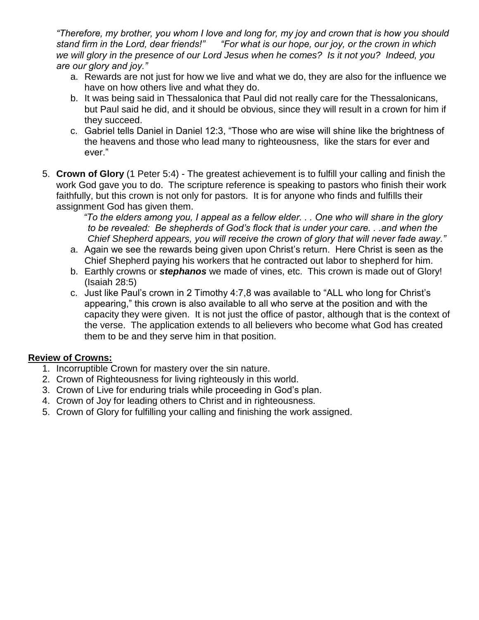*"Therefore, my brother, you whom I love and long for, my joy and crown that is how you should stand firm in the Lord, dear friends!" "For what is our hope, our joy, or the crown in which we will glory in the presence of our Lord Jesus when he comes? Is it not you? Indeed, you are our glory and joy."* 

- a. Rewards are not just for how we live and what we do, they are also for the influence we have on how others live and what they do.
- b. It was being said in Thessalonica that Paul did not really care for the Thessalonicans, but Paul said he did, and it should be obvious, since they will result in a crown for him if they succeed.
- c. Gabriel tells Daniel in Daniel 12:3, "Those who are wise will shine like the brightness of the heavens and those who lead many to righteousness, like the stars for ever and ever."
- 5. **Crown of Glory** (1 Peter 5:4) The greatest achievement is to fulfill your calling and finish the work God gave you to do. The scripture reference is speaking to pastors who finish their work faithfully, but this crown is not only for pastors. It is for anyone who finds and fulfills their assignment God has given them.

 *"To the elders among you, I appeal as a fellow elder. . . One who will share in the glory to be revealed: Be shepherds of God's flock that is under your care. . .and when the Chief Shepherd appears, you will receive the crown of glory that will never fade away."* 

- a. Again we see the rewards being given upon Christ's return. Here Christ is seen as the Chief Shepherd paying his workers that he contracted out labor to shepherd for him.
- b. Earthly crowns or *stephanos* we made of vines, etc. This crown is made out of Glory! (Isaiah 28:5)
- c. Just like Paul's crown in 2 Timothy 4:7,8 was available to "ALL who long for Christ's appearing," this crown is also available to all who serve at the position and with the capacity they were given. It is not just the office of pastor, although that is the context of the verse. The application extends to all believers who become what God has created them to be and they serve him in that position.

#### **Review of Crowns:**

- 1. Incorruptible Crown for mastery over the sin nature.
- 2. Crown of Righteousness for living righteously in this world.
- 3. Crown of Live for enduring trials while proceeding in God's plan.
- 4. Crown of Joy for leading others to Christ and in righteousness.
- 5. Crown of Glory for fulfilling your calling and finishing the work assigned.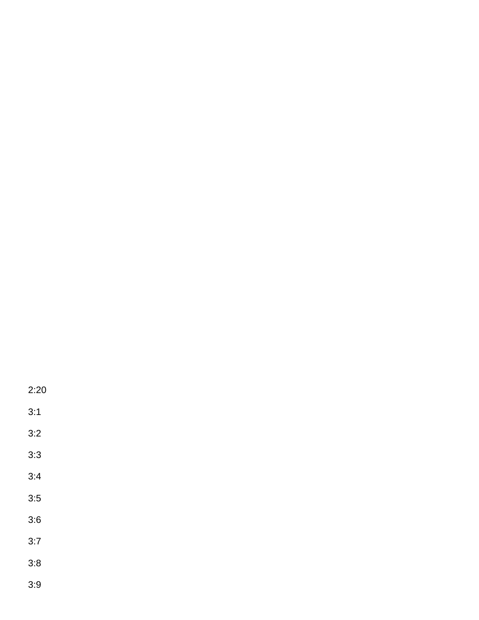2:20

3:1

3:2

3:3

3:4

3:5

3:6

3:7

3:8

3:9